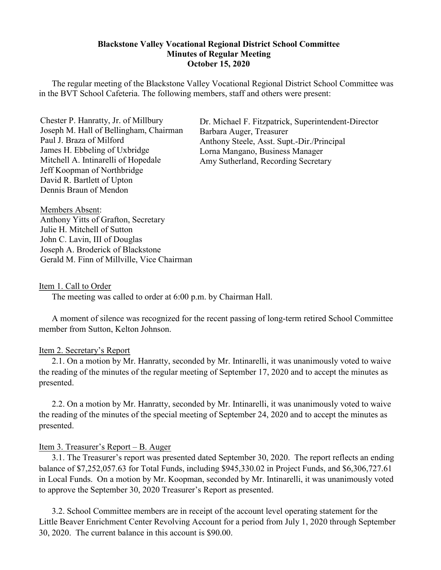### **Blackstone Valley Vocational Regional District School Committee Minutes of Regular Meeting October 15, 2020**

The regular meeting of the Blackstone Valley Vocational Regional District School Committee was in the BVT School Cafeteria. The following members, staff and others were present:

Chester P. Hanratty, Jr. of Millbury Joseph M. Hall of Bellingham, Chairman Paul J. Braza of Milford James H. Ebbeling of Uxbridge Mitchell A. Intinarelli of Hopedale Jeff Koopman of Northbridge David R. Bartlett of Upton Dennis Braun of Mendon

Dr. Michael F. Fitzpatrick, Superintendent-Director Barbara Auger, Treasurer Anthony Steele, Asst. Supt.-Dir./Principal Lorna Mangano, Business Manager Amy Sutherland, Recording Secretary

Members Absent: Anthony Yitts of Grafton, Secretary Julie H. Mitchell of Sutton John C. Lavin, III of Douglas Joseph A. Broderick of Blackstone Gerald M. Finn of Millville, Vice Chairman

#### Item 1. Call to Order

The meeting was called to order at 6:00 p.m. by Chairman Hall.

A moment of silence was recognized for the recent passing of long-term retired School Committee member from Sutton, Kelton Johnson.

#### Item 2. Secretary's Report

2.1. On a motion by Mr. Hanratty, seconded by Mr. Intinarelli, it was unanimously voted to waive the reading of the minutes of the regular meeting of September 17, 2020 and to accept the minutes as presented.

2.2. On a motion by Mr. Hanratty, seconded by Mr. Intinarelli, it was unanimously voted to waive the reading of the minutes of the special meeting of September 24, 2020 and to accept the minutes as presented.

#### Item 3. Treasurer's Report – B. Auger

3.1. The Treasurer's report was presented dated September 30, 2020. The report reflects an ending balance of \$7,252,057.63 for Total Funds, including \$945,330.02 in Project Funds, and \$6,306,727.61 in Local Funds. On a motion by Mr. Koopman, seconded by Mr. Intinarelli, it was unanimously voted to approve the September 30, 2020 Treasurer's Report as presented.

3.2. School Committee members are in receipt of the account level operating statement for the Little Beaver Enrichment Center Revolving Account for a period from July 1, 2020 through September 30, 2020. The current balance in this account is \$90.00.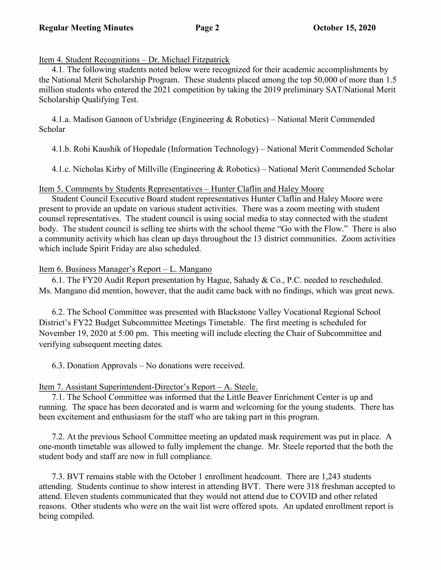### Item 4. Student Recognitions – Dr. Michael Fitzpatrick

4.1. The following students noted below were recognized for their academic accomplishments by the National Merit Scholarship Program. These students placed among the top 50,000 of more than 1.5 million students who entered the 2021 competition by taking the 2019 preliminary SAT/National Merit Scholarship Qualifying Test.

 4.1.a. Madison Gannon of Uxbridge (Engineering & Robotics) – National Merit Commended Scholar

4.1.b. Rohi Kaushik of Hopedale (Information Technology) – National Merit Commended Scholar

4.1.c. Nicholas Kirby of Millville (Engineering & Robotics) – National Merit Commended Scholar

## Item 5. Comments by Students Representatives – Hunter Claflin and Haley Moore

Student Council Executive Board student representatives Hunter Claflin and Haley Moore were present to provide an update on various student activities. There was a zoom meeting with student counsel representatives. The student council is using social media to stay connected with the student body. The student council is selling tee shirts with the school theme "Go with the Flow." There is also a community activity which has clean up days throughout the 13 district communities. Zoom activities which include Spirit Friday are also scheduled.

## Item 6. Business Manager's Report – L. Mangano

 6.1. The FY20 Audit Report presentation by Hague, Sahady & Co., P.C. needed to rescheduled. Ms. Mangano did mention, however, that the audit came back with no findings, which was great news.

6.2. The School Committee was presented with Blackstone Valley Vocational Regional School District's FY22 Budget Subcommittee Meetings Timetable. The first meeting is scheduled for November 19, 2020 at 5:00 pm. This meeting will include electing the Chair of Subcommittee and verifying subsequent meeting dates.

6.3. Donation Approvals – No donations were received.

## Item 7. Assistant Superintendent-Director's Report – A. Steele.

 7.1. The School Committee was informed that the Little Beaver Enrichment Center is up and running. The space has been decorated and is warm and welcoming for the young students. There has been excitement and enthusiasm for the staff who are taking part in this program.

 7.2. At the previous School Committee meeting an updated mask requirement was put in place. A one-month timetable was allowed to fully implement the change. Mr. Steele reported that the both the student body and staff are now in full compliance.

 7.3. BVT remains stable with the October 1 enrollment headcount. There are 1,243 students attending. Students continue to show interest in attending BVT. There were 318 freshman accepted to attend. Eleven students communicated that they would not attend due to COVID and other related reasons. Other students who were on the wait list were offered spots. An updated enrollment report is being compiled.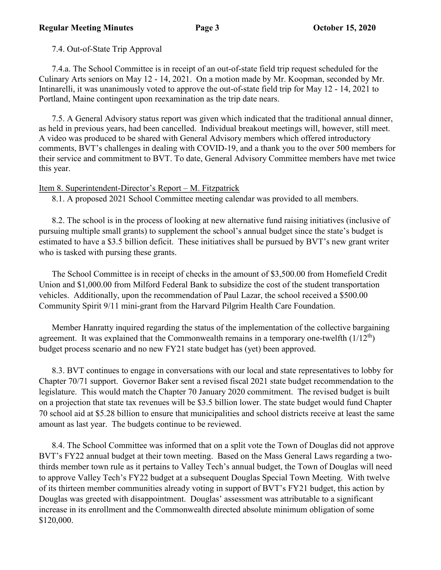7.4. Out-of-State Trip Approval

 7.4.a. The School Committee is in receipt of an out-of-state field trip request scheduled for the Culinary Arts seniors on May 12 - 14, 2021. On a motion made by Mr. Koopman, seconded by Mr. Intinarelli, it was unanimously voted to approve the out-of-state field trip for May 12 - 14, 2021 to Portland, Maine contingent upon reexamination as the trip date nears.

 7.5. A General Advisory status report was given which indicated that the traditional annual dinner, as held in previous years, had been cancelled. Individual breakout meetings will, however, still meet. A video was produced to be shared with General Advisory members which offered introductory comments, BVT's challenges in dealing with COVID-19, and a thank you to the over 500 members for their service and commitment to BVT. To date, General Advisory Committee members have met twice this year.

## Item 8. Superintendent-Director's Report – M. Fitzpatrick

8.1. A proposed 2021 School Committee meeting calendar was provided to all members.

 8.2. The school is in the process of looking at new alternative fund raising initiatives (inclusive of pursuing multiple small grants) to supplement the school's annual budget since the state's budget is estimated to have a \$3.5 billion deficit. These initiatives shall be pursued by BVT's new grant writer who is tasked with pursing these grants.

The School Committee is in receipt of checks in the amount of \$3,500.00 from Homefield Credit Union and \$1,000.00 from Milford Federal Bank to subsidize the cost of the student transportation vehicles. Additionally, upon the recommendation of Paul Lazar, the school received a \$500.00 Community Spirit 9/11 mini-grant from the Harvard Pilgrim Health Care Foundation.

Member Hanratty inquired regarding the status of the implementation of the collective bargaining agreement. It was explained that the Commonwealth remains in a temporary one-twelfth  $(1/12<sup>th</sup>)$ budget process scenario and no new FY21 state budget has (yet) been approved.

 8.3. BVT continues to engage in conversations with our local and state representatives to lobby for Chapter 70/71 support. Governor Baker sent a revised fiscal 2021 state budget recommendation to the legislature. This would match the Chapter 70 January 2020 commitment. The revised budget is built on a projection that state tax revenues will be \$3.5 billion lower. The state budget would fund Chapter 70 school aid at \$5.28 billion to ensure that municipalities and school districts receive at least the same amount as last year. The budgets continue to be reviewed.

 8.4. The School Committee was informed that on a split vote the Town of Douglas did not approve BVT's FY22 annual budget at their town meeting. Based on the Mass General Laws regarding a twothirds member town rule as it pertains to Valley Tech's annual budget, the Town of Douglas will need to approve Valley Tech's FY22 budget at a subsequent Douglas Special Town Meeting. With twelve of its thirteen member communities already voting in support of BVT's FY21 budget, this action by Douglas was greeted with disappointment. Douglas' assessment was attributable to a significant increase in its enrollment and the Commonwealth directed absolute minimum obligation of some \$120,000.